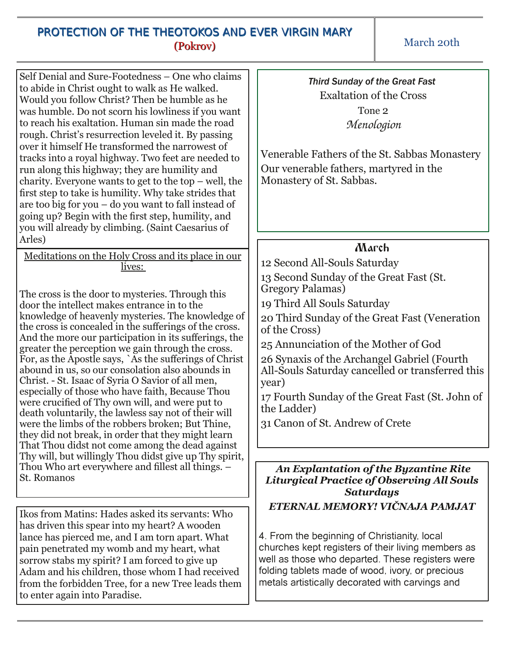## PROTECTION OF THE THEOTOKOS AND EVER VIRGIN MARY (Pokrov)

March 20th

| Self Denial and Sure-Footedness - One who claims<br>to abide in Christ ought to walk as He walked.<br>Would you follow Christ? Then be humble as he<br>was humble. Do not scorn his lowliness if you want<br>to reach his exaltation. Human sin made the road<br>rough. Christ's resurrection leveled it. By passing<br>over it himself He transformed the narrowest of<br>tracks into a royal highway. Two feet are needed to<br>run along this highway; they are humility and<br>charity. Everyone wants to get to the top $-$ well, the<br>first step to take is humility. Why take strides that<br>are too big for you $-$ do you want to fall instead of<br>going up? Begin with the first step, humility, and<br>you will already by climbing. (Saint Caesarius of<br>Arles) | Veneral<br>Our ver<br>Monast                                                                    |
|------------------------------------------------------------------------------------------------------------------------------------------------------------------------------------------------------------------------------------------------------------------------------------------------------------------------------------------------------------------------------------------------------------------------------------------------------------------------------------------------------------------------------------------------------------------------------------------------------------------------------------------------------------------------------------------------------------------------------------------------------------------------------------|-------------------------------------------------------------------------------------------------|
| Meditations on the Holy Cross and its place in our<br>lives:<br>The cross is the door to mysteries. Through this<br>door the intellect makes entrance in to the<br>knowledge of heavenly mysteries. The knowledge of<br>the cross is concealed in the sufferings of the cross.<br>And the more our participation in its sufferings, the<br>greater the perception we gain through the cross.<br>For, as the Apostle says, `As the sufferings of Christ                                                                                                                                                                                                                                                                                                                             | 12 Seco<br>13 Seco<br>Gregory<br>19 Thire<br>20 Thir<br>of the C<br>$25 \text{ Ann}$<br>26 Syna |

*Third Sunday of the Great Fast* Exaltation of the Cross Tone 2 *Menologion*

ble Fathers of the St. Sabbas Monastery nerable fathers, martyred in the ery of St. Sabbas.

## March

nd All-Souls Saturday

nd Sunday of the Great Fast (St. v Palamas)

d All Souls Saturday

d Sunday of the Great Fast (Veneration  $Tross)$ 

unciation of the Mother of God

axis of the Archangel Gabriel (Fourth All-Souls Saturday cancelled or transferred this year)

17 Fourth Sunday of the Great Fast (St. John of the Ladder)

31 Canon of St. Andrew of Crete

## *An Explantation of the Byzantine Rite Liturgical Practice of Observing All Souls Saturdays*

*ETERNAL MEMORY! VIČNAJA PAMJAT*

4. From the beginning of Christianity, local churches kept registers of their living members as well as those who departed. These registers were folding tablets made of wood, ivory, or precious metals artistically decorated with carvings and

Ikos from Matins: Hades asked its servants: Who has driven this spear into my heart? A wooden lance has pierced me, and I am torn apart. What pain penetrated my womb and my heart, what sorrow stabs my spirit? I am forced to give up Adam and his children, those whom I had received from the forbidden Tree, for a new Tree leads them to enter again into Paradise.

St. Romanos

abound in us, so our consolation also abounds in Christ. - St. Isaac of Syria O Savior of all men, especially of those who have faith, Because Thou were crucified of Thy own will, and were put to death voluntarily, the lawless say not of their will were the limbs of the robbers broken; But Thine, they did not break, in order that they might learn That Thou didst not come among the dead against Thy will, but willingly Thou didst give up Thy spirit, Thou Who art everywhere and fillest all things. –